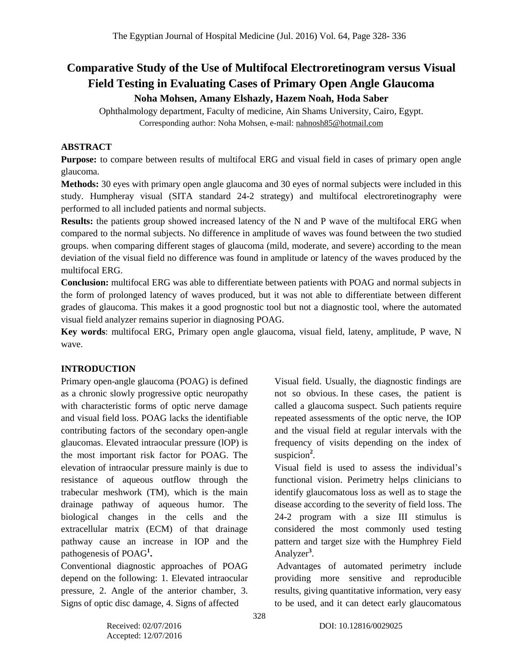# **Comparative Study of the Use of Multifocal Electroretinogram versus Visual Field Testing in Evaluating Cases of Primary Open Angle Glaucoma Noha Mohsen, Amany Elshazly, Hazem Noah, Hoda Saber**

Ophthalmology department, Faculty of medicine, Ain Shams University, Cairo, Egypt. Corresponding author: Noha Mohsen, e-mail: [nahnosh85@hotmail.com](mailto:nahnosh85@hotmail.com)

#### **ABSTRACT**

**Purpose:** to compare between results of multifocal ERG and visual field in cases of primary open angle glaucoma.

**Methods:** 30 eyes with primary open angle glaucoma and 30 eyes of normal subjects were included in this study. Humpheray visual (SITA standard 24-2 strategy) and multifocal electroretinography were performed to all included patients and normal subjects.

**Results:** the patients group showed increased latency of the N and P wave of the multifocal ERG when compared to the normal subjects. No difference in amplitude of waves was found between the two studied groups. when comparing different stages of glaucoma (mild, moderate, and severe) according to the mean deviation of the visual field no difference was found in amplitude or latency of the waves produced by the multifocal ERG.

**Conclusion:** multifocal ERG was able to differentiate between patients with POAG and normal subjects in the form of prolonged latency of waves produced, but it was not able to differentiate between different grades of glaucoma. This makes it a good prognostic tool but not a diagnostic tool, where the automated visual field analyzer remains superior in diagnosing POAG.

**Key words**: multifocal ERG, Primary open angle glaucoma, visual field, lateny, amplitude, P wave, N wave.

#### **INTRODUCTION**

Primary open-angle glaucoma (POAG) is defined as a chronic slowly progressive optic neuropathy with characteristic forms of optic nerve damage and visual field loss. POAG lacks the identifiable contributing factors of the secondary open-angle glaucomas. Elevated intraocular pressure (lOP) is the most important risk factor for POAG. The elevation of intraocular pressure mainly is due to resistance of aqueous outflow through the trabecular meshwork (TM), which is the main drainage pathway of aqueous humor. The biological changes in the cells and the extracellular matrix (ECM) of that drainage pathway cause an increase in IOP and the pathogenesis of POAG**<sup>1</sup> .**

Conventional diagnostic approaches of POAG depend on the following: 1. Elevated intraocular pressure, 2. Angle of the anterior chamber, 3. Signs of optic disc damage, 4. Signs of affected

Visual field. Usually, the diagnostic findings are not so obvious. In these cases, the patient is called a glaucoma suspect. Such patients require repeated assessments of the optic nerve, the IOP and the visual field at regular intervals with the frequency of visits depending on the index of suspicion<sup>2</sup>.

Visual field is used to assess the individual's functional vision. Perimetry helps clinicians to identify glaucomatous loss as well as to stage the disease according to the severity of field loss. The 24-2 program with a size III stimulus is considered the most commonly used testing pattern and target size with the Humphrey Field Analyzer<sup>3</sup>.

Advantages of automated perimetry include providing more sensitive and reproducible results, giving quantitative information, very easy to be used, and it can detect early glaucomatous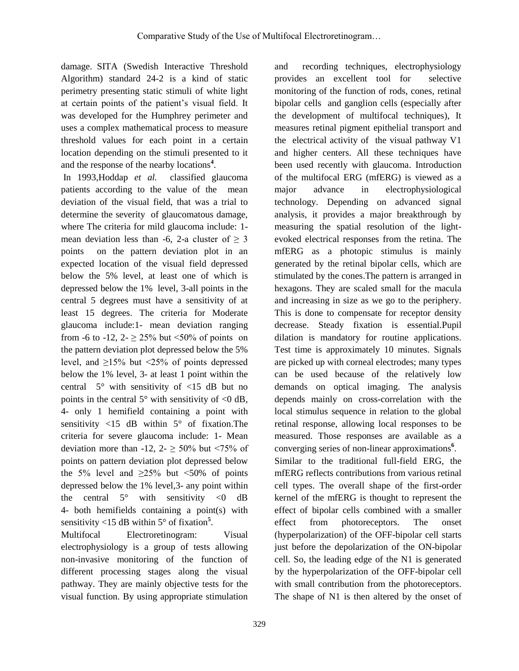damage. SITA (Swedish Interactive Threshold Algorithm) standard 24-2 is a kind of static perimetry presenting static stimuli of white light at certain points of the patient's visual field. It was developed for the Humphrey perimeter and uses a complex mathematical process to measure threshold values for each point in a certain location depending on the stimuli presented to it and the response of the nearby locations**<sup>4</sup>** .

In 1993,Hoddap *et al.* classified glaucoma patients according to the value of the mean deviation of the visual field, that was a trial to determine the severity of glaucomatous damage, where The criteria for mild glaucoma include: 1 mean deviation less than -6, 2-a cluster of  $> 3$ points on the pattern deviation plot in an expected location of the visual field depressed below the 5% level, at least one of which is depressed below the 1% level, 3-all points in the central 5 degrees must have a sensitivity of at least 15 degrees. The criteria for Moderate glaucoma include:1- mean deviation ranging from -6 to -12, 2-  $\geq$  25% but <50% of points on the pattern deviation plot depressed below the 5% level, and  $\geq 15\%$  but <25% of points depressed below the 1% level, 3- at least 1 point within the central  $5^\circ$  with sensitivity of  $\langle 15 \rangle$  dB but no points in the central  $5^\circ$  with sensitivity of  $\leq 0$  dB, 4- only 1 hemifield containing a point with sensitivity  $\langle 15 \text{ dB} \rangle$  within  $5^\circ$  of fixation. The criteria for severe glaucoma include: 1- Mean deviation more than -12,  $2 - \geq 50\%$  but <75% of points on pattern deviation plot depressed below the 5% level and  $\geq 25\%$  but <50% of points depressed below the 1% level,3- any point within the central  $5^\circ$  with sensitivity  $\langle 0 \rangle$  dB 4- both hemifields containing a point(s) with sensitivity <15 dB within 5° of fixation**<sup>5</sup>** .

Multifocal Electroretinogram: Visual electrophysiology is a group of tests allowing non-invasive monitoring of the function of different processing stages along the visual pathway. They are mainly objective tests for the visual function. By using appropriate stimulation

and recording techniques, electrophysiology provides an excellent tool for selective monitoring of the function of rods, cones, retinal bipolar cells and ganglion cells (especially after the development of multifocal techniques), It measures retinal pigment epithelial transport and the electrical activity of the visual pathway V1 and higher centers. All these techniques have been used recently with glaucoma. Introduction of the multifocal ERG (mfERG) is viewed as a major advance in electrophysiological technology. Depending on advanced signal analysis, it provides a major breakthrough by measuring the spatial resolution of the lightevoked electrical responses from the retina. The mfERG as a photopic stimulus is mainly generated by the retinal bipolar cells, which are stimulated by the cones.The pattern is arranged in hexagons. They are scaled small for the macula and increasing in size as we go to the periphery. This is done to compensate for receptor density decrease. Steady fixation is essential.Pupil dilation is mandatory for routine applications. Test time is approximately 10 minutes. Signals are picked up with corneal electrodes; many types can be used because of the relatively low demands on optical imaging. The analysis depends mainly on cross-correlation with the local stimulus sequence in relation to the global retinal response, allowing local responses to be measured. Those responses are available as a converging series of non-linear approximations**<sup>6</sup>** . Similar to the traditional full-field ERG, the mfERG reflects contributions from various retinal cell types. The overall shape of the first-order kernel of the mfERG is thought to represent the effect of bipolar cells combined with a smaller effect from photoreceptors. The onset (hyperpolarization) of the OFF-bipolar cell starts just before the depolarization of the ON-bipolar cell. So, the leading edge of the N1 is generated by the hyperpolarization of the OFF-bipolar cell with small contribution from the photoreceptors. The shape of N1 is then altered by the onset of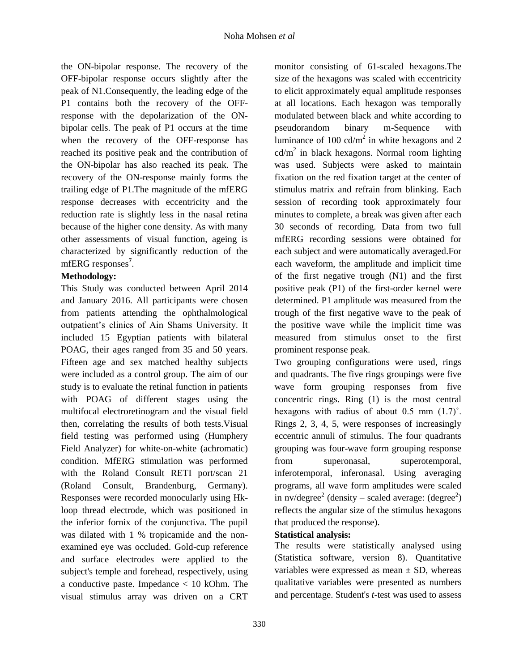the ON-bipolar response. The recovery of the OFF-bipolar response occurs slightly after the peak of N1.Consequently, the leading edge of the P1 contains both the recovery of the OFFresponse with the depolarization of the ONbipolar cells. The peak of P1 occurs at the time when the recovery of the OFF-response has reached its positive peak and the contribution of the ON-bipolar has also reached its peak. The recovery of the ON-response mainly forms the trailing edge of P1.The magnitude of the mfERG response decreases with eccentricity and the reduction rate is slightly less in the nasal retina because of the higher cone density. As with many other assessments of visual function, ageing is characterized by significantly reduction of the mfERG responses**<sup>7</sup>** .

## **Methodology:**

This Study was conducted between April 2014 and January 2016. All participants were chosen from patients attending the ophthalmological outpatient's clinics of Ain Shams University. It included 15 Egyptian patients with bilateral POAG, their ages ranged from 35 and 50 years. Fifteen age and sex matched healthy subjects were included as a control group. The aim of our study is to evaluate the retinal function in patients with POAG of different stages using the multifocal electroretinogram and the visual field then, correlating the results of both tests.Visual field testing was performed using (Humphery Field Analyzer) for white-on-white (achromatic) condition. MfERG stimulation was performed with the Roland Consult RETI port/scan 21 (Roland Consult, Brandenburg, Germany). Responses were recorded monocularly using Hkloop thread electrode, which was positioned in the inferior fornix of the conjunctiva. The pupil was dilated with 1 % tropicamide and the nonexamined eye was occluded. Gold-cup reference and surface electrodes were applied to the subject's temple and forehead, respectively, using a conductive paste. Impedance < 10 kOhm. The visual stimulus array was driven on a CRT monitor consisting of 61-scaled hexagons.The size of the hexagons was scaled with eccentricity to elicit approximately equal amplitude responses at all locations. Each hexagon was temporally modulated between black and white according to pseudorandom binary m-Sequence with luminance of 100  $cd/m^2$  in white hexagons and 2  $cd/m<sup>2</sup>$  in black hexagons. Normal room lighting was used. Subjects were asked to maintain fixation on the red fixation target at the center of stimulus matrix and refrain from blinking. Each session of recording took approximately four minutes to complete, a break was given after each 30 seconds of recording. Data from two full mfERG recording sessions were obtained for each subject and were automatically averaged.For each waveform, the amplitude and implicit time of the first negative trough (N1) and the first positive peak (P1) of the first-order kernel were determined. P1 amplitude was measured from the trough of the first negative wave to the peak of the positive wave while the implicit time was measured from stimulus onset to the first prominent response peak.

Two grouping configurations were used, rings and quadrants. The five rings groupings were five wave form grouping responses from five concentric rings. Ring (1) is the most central hexagons with radius of about  $0.5$  mm  $(1.7)^\circ$ . Rings 2, 3, 4, 5, were responses of increasingly eccentric annuli of stimulus. The four quadrants grouping was four-wave form grouping response from superonasal, superotemporal, inferotemporal, inferonasal. Using averaging programs, all wave form amplitudes were scaled in nv/degree<sup>2</sup> (density – scaled average: (degree<sup>2</sup>) reflects the angular size of the stimulus hexagons that produced the response).

## **Statistical analysis:**

The results were statistically analysed using (Statistica software, version 8). Quantitative variables were expressed as mean  $\pm$  SD, whereas qualitative variables were presented as numbers and percentage. Student's *t*-test was used to assess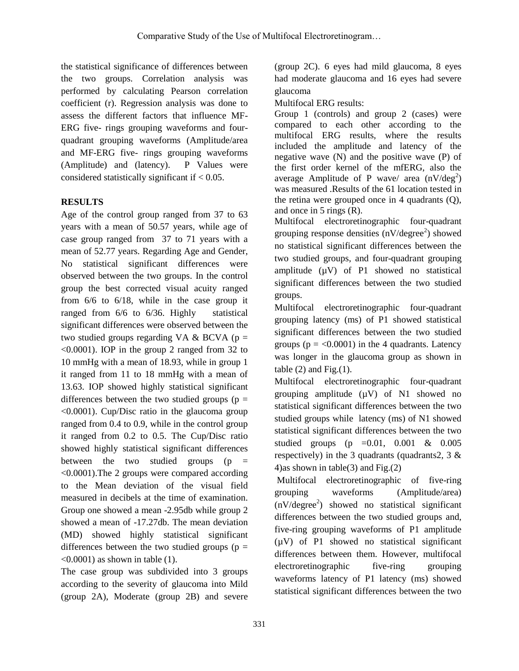the statistical significance of differences between the two groups. Correlation analysis was performed by calculating Pearson correlation coefficient (r). Regression analysis was done to assess the different factors that influence MF-ERG five- rings grouping waveforms and fourquadrant grouping waveforms (Amplitude/area and MF-ERG five- rings grouping waveforms (Amplitude) and (latency). P Values were considered statistically significant if < 0.05.

## **RESULTS**

Age of the control group ranged from 37 to 63 years with a mean of 50.57 years, while age of case group ranged from 37 to 71 years with a mean of 52.77 years. Regarding Age and Gender, No statistical significant differences were observed between the two groups. In the control group the best corrected visual acuity ranged from 6/6 to 6/18, while in the case group it ranged from 6/6 to 6/36. Highly statistical significant differences were observed between the two studied groups regarding VA & BCVA ( $p =$ <0.0001). IOP in the group 2 ranged from 32 to 10 mmHg with a mean of 18.93, while in group 1 it ranged from 11 to 18 mmHg with a mean of 13.63. IOP showed highly statistical significant differences between the two studied groups ( $p =$ <0.0001). Cup/Disc ratio in the glaucoma group ranged from 0.4 to 0.9, while in the control group it ranged from 0.2 to 0.5. The Cup/Disc ratio showed highly statistical significant differences between the two studied groups  $(p =$ <0.0001).The 2 groups were compared according to the Mean deviation of the visual field measured in decibels at the time of examination. Group one showed a mean -2.95db while group 2 showed a mean of -17.27db. The mean deviation (MD) showed highly statistical significant differences between the two studied groups ( $p =$  $\leq 0.0001$ ) as shown in table (1).

The case group was subdivided into 3 groups according to the severity of glaucoma into Mild (group 2A), Moderate (group 2B) and severe

(group 2C). 6 eyes had mild glaucoma, 8 eyes had moderate glaucoma and 16 eyes had severe glaucoma

Multifocal ERG results:

Group 1 (controls) and group 2 (cases) were compared to each other according to the multifocal ERG results, where the results included the amplitude and latency of the negative wave (N) and the positive wave (P) of the first order kernel of the mfERG, also the average Amplitude of P wave/ area  $(nV/deg^2)$ was measured .Results of the 61 location tested in the retina were grouped once in 4 quadrants (Q), and once in 5 rings (R).

Multifocal electroretinographic four-quadrant grouping response densities  $(nV/\text{degree}^2)$  showed no statistical significant differences between the two studied groups, and four-quadrant grouping amplitude  $(\mu V)$  of P1 showed no statistical significant differences between the two studied groups.

Multifocal electroretinographic four-quadrant grouping latency (ms) of P1 showed statistical significant differences between the two studied groups ( $p = < 0.0001$ ) in the 4 quadrants. Latency was longer in the glaucoma group as shown in table  $(2)$  and Fig. $(1)$ .

Multifocal electroretinographic four-quadrant grouping amplitude  $(\mu V)$  of N1 showed no statistical significant differences between the two studied groups while latency (ms) of N1 showed statistical significant differences between the two studied groups (p =0.01, 0.001 & 0.005 respectively) in the 3 quadrants (quadrants 2,  $3 \&$ 4)as shown in table(3) and Fig.(2)

Multifocal electroretinographic of five-ring grouping waveforms (Amplitude/area)  $(nV/degree<sup>2</sup>)$  showed no statistical significant differences between the two studied groups and, five-ring grouping waveforms of P1 amplitude (µV) of P1 showed no statistical significant differences between them. However, multifocal electroretinographic five-ring grouping waveforms latency of P1 latency (ms) showed statistical significant differences between the two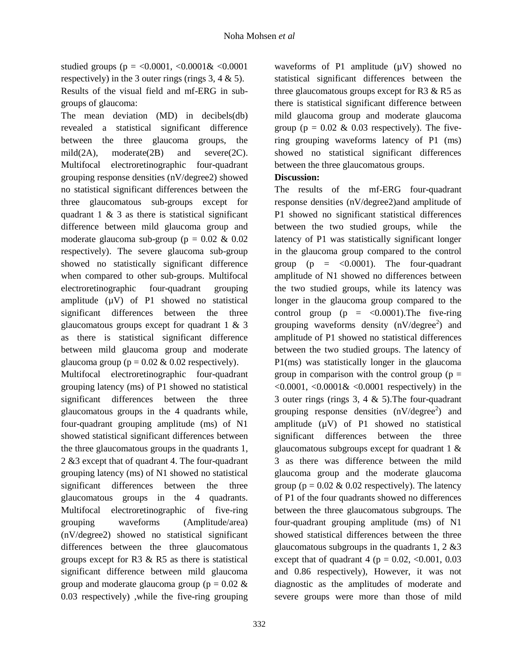studied groups (p = <0.0001, <0.0001& <0.0001 respectively) in the 3 outer rings (rings  $3, 4 \& 5$ ). Results of the visual field and mf-ERG in subgroups of glaucoma:

The mean deviation (MD) in decibels(db) revealed a statistical significant difference between the three glaucoma groups, the mild(2A), moderate(2B) and severe(2C). Multifocal electroretinographic four-quadrant grouping response densities (nV/degree2) showed no statistical significant differences between the three glaucomatous sub-groups except for quadrant  $1 \& 3$  as there is statistical significant difference between mild glaucoma group and moderate glaucoma sub-group ( $p = 0.02 \& 0.02$ respectively). The severe glaucoma sub-group showed no statistically significant difference when compared to other sub-groups. Multifocal electroretinographic four-quadrant grouping amplitude  $(\mu V)$  of P1 showed no statistical significant differences between the three glaucomatous groups except for quadrant 1 & 3 as there is statistical significant difference between mild glaucoma group and moderate glaucoma group ( $p = 0.02 \& 0.02$  respectively).

Multifocal electroretinographic four-quadrant grouping latency (ms) of P1 showed no statistical significant differences between the three glaucomatous groups in the 4 quadrants while, four-quadrant grouping amplitude (ms) of N1 showed statistical significant differences between the three glaucomatous groups in the quadrants 1, 2 &3 except that of quadrant 4. The four-quadrant grouping latency (ms) of N1 showed no statistical significant differences between the three glaucomatous groups in the 4 quadrants. Multifocal electroretinographic of five-ring grouping waveforms (Amplitude/area) (nV/degree2) showed no statistical significant differences between the three glaucomatous groups except for R3 & R5 as there is statistical significant difference between mild glaucoma group and moderate glaucoma group ( $p = 0.02 \&$ 0.03 respectively) ,while the five-ring grouping

waveforms of P1 amplitude  $(\mu V)$  showed no statistical significant differences between the three glaucomatous groups except for  $R3 \& R5$  as there is statistical significant difference between mild glaucoma group and moderate glaucoma group ( $p = 0.02 \& 0.03$  respectively). The fivering grouping waveforms latency of P1 (ms) showed no statistical significant differences between the three glaucomatous groups.

## **Discussion:**

The results of the mf-ERG four-quadrant response densities (nV/degree2)and amplitude of P1 showed no significant statistical differences between the two studied groups, while the latency of P1 was statistically significant longer in the glaucoma group compared to the control group ( $p = <0.0001$ ). The four-quadrant amplitude of N1 showed no differences between the two studied groups, while its latency was longer in the glaucoma group compared to the control group ( $p = <0.0001$ ). The five-ring grouping waveforms density  $(nV/\text{degree}^2)$  and amplitude of P1 showed no statistical differences between the two studied groups. The latency of P1(ms) was statistically longer in the glaucoma group in comparison with the control group ( $p =$  $\leq 0.0001$ ,  $\leq 0.0001 \& \leq 0.0001$  respectively) in the 3 outer rings (rings  $3, 4 \& 5$ ). The four-quadrant grouping response densities  $(nV/\text{degree}^2)$  and amplitude  $(\mu V)$  of P1 showed no statistical significant differences between the three glaucomatous subgroups except for quadrant 1 & 3 as there was difference between the mild glaucoma group and the moderate glaucoma group ( $p = 0.02 \& 0.02$  respectively). The latency of P1 of the four quadrants showed no differences between the three glaucomatous subgroups. The four-quadrant grouping amplitude (ms) of N1 showed statistical differences between the three glaucomatous subgroups in the quadrants  $1, 2 \& 3$ except that of quadrant 4 ( $p = 0.02$ , <0.001, 0.03 and 0.86 respectively), However, it was not diagnostic as the amplitudes of moderate and severe groups were more than those of mild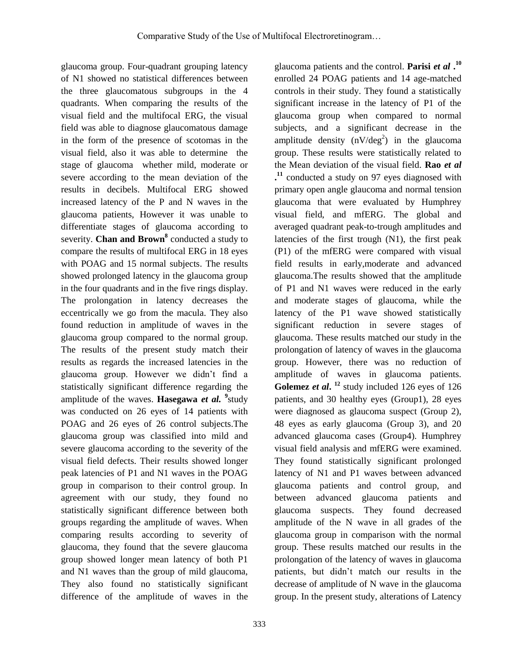glaucoma group. Four-quadrant grouping latency of N1 showed no statistical differences between the three glaucomatous subgroups in the 4 quadrants. When comparing the results of the visual field and the multifocal ERG, the visual field was able to diagnose glaucomatous damage in the form of the presence of scotomas in the visual field, also it was able to determine the stage of glaucoma whether mild, moderate or severe according to the mean deviation of the results in decibels. Multifocal ERG showed increased latency of the P and N waves in the glaucoma patients, However it was unable to differentiate stages of glaucoma according to severity. **Chan and Brown<sup>8</sup>** conducted a study to compare the results of multifocal ERG in 18 eyes with POAG and 15 normal subjects. The results showed prolonged latency in the glaucoma group in the four quadrants and in the five rings display. The prolongation in latency decreases the eccentrically we go from the macula. They also found reduction in amplitude of waves in the glaucoma group compared to the normal group. The results of the present study match their results as regards the increased latencies in the glaucoma group. However we didn't find a statistically significant difference regarding the amplitude of the waves. **Hasegawa** *et al.* <sup>9</sup> study was conducted on 26 eyes of 14 patients with POAG and 26 eyes of 26 control subjects.The glaucoma group was classified into mild and severe glaucoma according to the severity of the visual field defects. Their results showed longer peak latencies of P1 and N1 waves in the POAG group in comparison to their control group. In agreement with our study, they found no statistically significant difference between both groups regarding the amplitude of waves. When comparing results according to severity of glaucoma, they found that the severe glaucoma group showed longer mean latency of both P1 and N1 waves than the group of mild glaucoma, They also found no statistically significant difference of the amplitude of waves in the

333

glaucoma patients and the control. **Parisi** *et al* **. 10** enrolled 24 POAG patients and 14 age-matched controls in their study. They found a statistically significant increase in the latency of P1 of the glaucoma group when compared to normal subjects, and a significant decrease in the amplitude density  $(nV/deg^2)$  in the glaucoma group. These results were statistically related to the Mean deviation of the visual field. **Rao** *et al* **. <sup>11</sup>** conducted a study on 97 eyes diagnosed with primary open angle glaucoma and normal tension glaucoma that were evaluated by Humphrey visual field, and mfERG. The global and averaged quadrant peak-to-trough amplitudes and latencies of the first trough (N1), the first peak (P1) of the mfERG were compared with visual field results in early,moderate and advanced glaucoma.The results showed that the amplitude of P1 and N1 waves were reduced in the early and moderate stages of glaucoma, while the latency of the P1 wave showed statistically significant reduction in severe stages of glaucoma. These results matched our study in the prolongation of latency of waves in the glaucoma group. However, there was no reduction of amplitude of waves in glaucoma patients. **Golemez** *et al***. <sup>12</sup>** study included 126 eyes of 126 patients, and 30 healthy eyes (Group1), 28 eyes were diagnosed as glaucoma suspect (Group 2), 48 eyes as early glaucoma (Group 3), and 20 advanced glaucoma cases (Group4). Humphrey visual field analysis and mfERG were examined. They found statistically significant prolonged latency of N1 and P1 waves between advanced glaucoma patients and control group, and between advanced glaucoma patients and glaucoma suspects. They found decreased amplitude of the N wave in all grades of the glaucoma group in comparison with the normal group. These results matched our results in the prolongation of the latency of waves in glaucoma patients, but didn't match our results in the decrease of amplitude of N wave in the glaucoma group. In the present study, alterations of Latency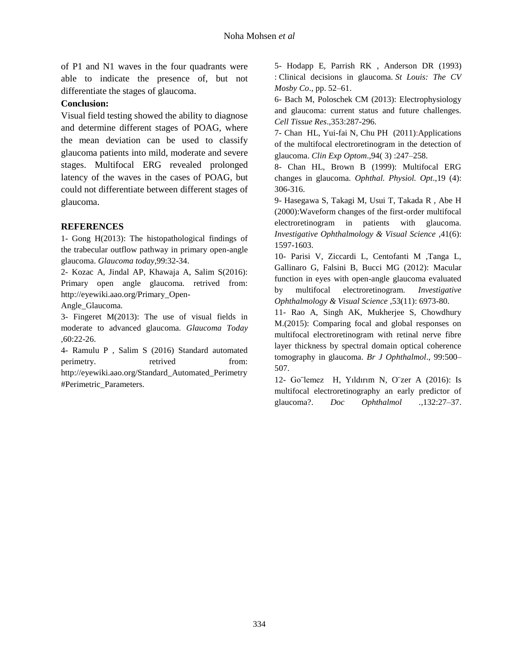of P1 and N1 waves in the four quadrants were able to indicate the presence of, but not differentiate the stages of glaucoma.

#### **Conclusion:**

Visual field testing showed the ability to diagnose and determine different stages of POAG, where the mean deviation can be used to classify glaucoma patients into mild, moderate and severe stages. Multifocal ERG revealed prolonged latency of the waves in the cases of POAG, but could not differentiate between different stages of glaucoma.

#### **REFERENCES**

1- Gong H(2013): The histopathological findings of the trabecular outflow pathway in primary open-angle glaucoma. *Glaucoma today*,99:32-34.

2- Kozac A, Jindal AP, Khawaja A, Salim S(2016): Primary open angle glaucoma. retrived from: http://eyewiki.aao.org/Primary\_Open-

Angle\_Glaucoma.

3- Fingeret M(2013): The use of visual fields in moderate to advanced glaucoma. *Glaucoma Today* ,60:22-26.

4- Ramulu P , Salim S (2016) Standard automated perimetry. retrived from: http://eyewiki.aao.org/Standard\_Automated\_Perimetry #Perimetric\_Parameters.

5- Hodapp E, Parrish RK , Anderson DR (1993) : Clinical decisions in glaucoma. *St Louis: The CV Mosby Co*., pp. 52–61.

6- Bach M, Poloschek CM (2013): Electrophysiology and glaucoma: current status and future challenges. *Cell Tissue Res*.,353:287-296.

7- Chan HL, Yui-fai N, Chu PH (2011):Applications of the multifocal electroretinogram in the detection of glaucoma. *Clin Exp Optom*.,94( 3) :247–258.

8- Chan HL, Brown B (1999): Multifocal ERG changes in glaucoma. *Ophthal. Physiol. Opt*.,19 (4): 306-316.

9- Hasegawa S, Takagi M, Usui T, Takada R , Abe H (2000):Waveform changes of the first-order multifocal electroretinogram in patients with glaucoma*. Investigative Ophthalmology & Visual Science* ,41(6): 1597-1603.

10- Parisi V, Ziccardi L, Centofanti M ,Tanga L, Gallinaro G, Falsini B, Bucci MG (2012): Macular function in eyes with open-angle glaucoma evaluated by multifocal electroretinogram. *Investigative Ophthalmology & Visual Science* ,53(11): 6973-80.

11- Rao A, Singh AK, Mukherjee S, Chowdhury M.(2015): Comparing focal and global responses on multifocal electroretinogram with retinal nerve fibre layer thickness by spectral domain optical coherence tomography in glaucoma. *Br J Ophthalmol*., 99:500– 507.

12- Go¨lemez H, Yıldırım N, O¨zer A (2016): Is multifocal electroretinography an early predictor of glaucoma?. *Doc Ophthalmol .,*132:27–37.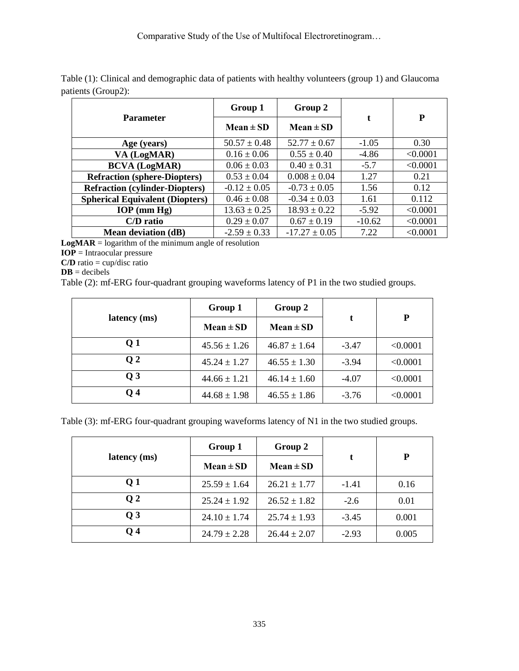| <b>Parameter</b>                       | Group 1          | Group 2           | t        | P        |
|----------------------------------------|------------------|-------------------|----------|----------|
|                                        | $Mean \pm SD$    | $Mean \pm SD$     |          |          |
| Age (years)                            | $50.57 \pm 0.48$ | $52.77 \pm 0.67$  | $-1.05$  | 0.30     |
| VA (LogMAR)                            | $0.16 \pm 0.06$  | $0.55 \pm 0.40$   | $-4.86$  | < 0.0001 |
| <b>BCVA</b> (LogMAR)                   | $0.06 \pm 0.03$  | $0.40 \pm 0.31$   | $-5.7$   | < 0.0001 |
| <b>Refraction (sphere-Diopters)</b>    | $0.53 \pm 0.04$  | $0.008 \pm 0.04$  | 1.27     | 0.21     |
| <b>Refraction (cylinder-Diopters)</b>  | $-0.12 \pm 0.05$ | $-0.73 \pm 0.05$  | 1.56     | 0.12     |
| <b>Spherical Equivalent (Diopters)</b> | $0.46 \pm 0.08$  | $-0.34 \pm 0.03$  | 1.61     | 0.112    |
| $IOP$ (mm $Hg$ )                       | $13.63 \pm 0.25$ | $18.93 \pm 0.22$  | $-5.92$  | < 0.0001 |
| C/D ratio                              | $0.29 \pm 0.07$  | $0.67 \pm 0.19$   | $-10.62$ | < 0.0001 |
| <b>Mean deviation (dB)</b>             | $-2.59 \pm 0.33$ | $-17.27 \pm 0.05$ | 7.22     | < 0.0001 |

Table (1): Clinical and demographic data of patients with healthy volunteers (group 1) and Glaucoma patients (Group2):

 $LogMAR = logarithm$  of the minimum angle of resolution

**IOP** = Intraocular pressure

**C/D** ratio = cup/disc ratio

 $DB = decibels$ 

Table (2): mf-ERG four-quadrant grouping waveforms latency of P1 in the two studied groups.

| latency (ms)    | Group 1          | Group 2          | t       | P        |
|-----------------|------------------|------------------|---------|----------|
|                 | $Mean \pm SD$    | $Mean \pm SD$    |         |          |
| Q <sub>1</sub>  | $45.56 \pm 1.26$ | $46.87 \pm 1.64$ | $-3.47$ | < 0.0001 |
| Q <sub>2</sub>  | $45.24 \pm 1.27$ | $46.55 \pm 1.30$ | $-3.94$ | < 0.0001 |
| $\overline{0}3$ | $44.66 \pm 1.21$ | $46.14 \pm 1.60$ | $-4.07$ | < 0.0001 |
| <b>Q</b> 4      | $44.68 \pm 1.98$ | $46.55 \pm 1.86$ | $-3.76$ | < 0.0001 |

Table (3): mf-ERG four-quadrant grouping waveforms latency of N1 in the two studied groups.

| latency (ms)    | Group 1          | Group 2          |         | P     |
|-----------------|------------------|------------------|---------|-------|
|                 | $Mean \pm SD$    | $Mean \pm SD$    |         |       |
| Q <sub>1</sub>  | $25.59 \pm 1.64$ | $26.21 \pm 1.77$ | $-1.41$ | 0.16  |
| Q <sub>2</sub>  | $25.24 \pm 1.92$ | $26.52 \pm 1.82$ | $-2.6$  | 0.01  |
| $\overline{0}3$ | $24.10 \pm 1.74$ | $25.74 \pm 1.93$ | $-3.45$ | 0.001 |
| <b>Q4</b>       | $24.79 \pm 2.28$ | $26.44 \pm 2.07$ | $-2.93$ | 0.005 |